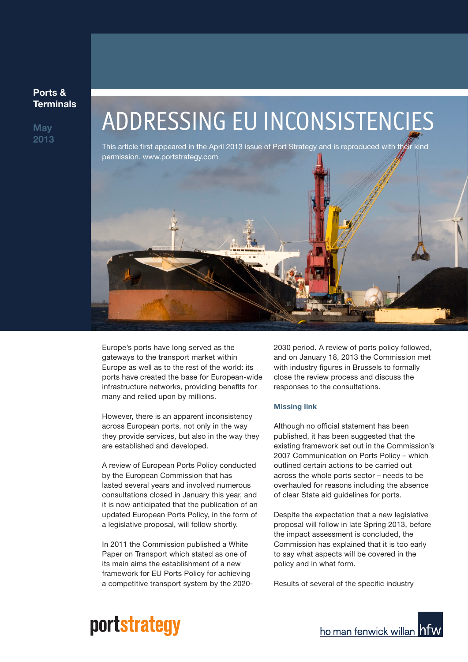#### **Ports & Terminals**

**May 2013**

# ADDRESSING EU INCONSISTENCIES

This article first appeared in the April 2013 issue of Port Strategy and is reproduced with their kind permission. www.portstrategy.com



Europe's ports have long served as the gateways to the transport market within Europe as well as to the rest of the world: its ports have created the base for European-wide infrastructure networks, providing benefits for many and relied upon by millions.

However, there is an apparent inconsistency across European ports, not only in the way they provide services, but also in the way they are established and developed.

A review of European Ports Policy conducted by the European Commission that has lasted several years and involved numerous consultations closed in January this year, and it is now anticipated that the publication of an updated European Ports Policy, in the form of a legislative proposal, will follow shortly.

In 2011 the Commission published a White Paper on Transport which stated as one of its main aims the establishment of a new framework for EU Ports Policy for achieving a competitive transport system by the 20202030 period. A review of ports policy followed, and on January 18, 2013 the Commission met with industry figures in Brussels to formally close the review process and discuss the responses to the consultations.

#### **Missing link**

Although no official statement has been published, it has been suggested that the existing framework set out in the Commission's 2007 Communication on Ports Policy – which outlined certain actions to be carried out across the whole ports sector – needs to be overhauled for reasons including the absence of clear State aid guidelines for ports.

Despite the expectation that a new legislative proposal will follow in late Spring 2013, before the impact assessment is concluded, the Commission has explained that it is too early to say what aspects will be covered in the policy and in what form.

Results of several of the specific industry

## portstrategy

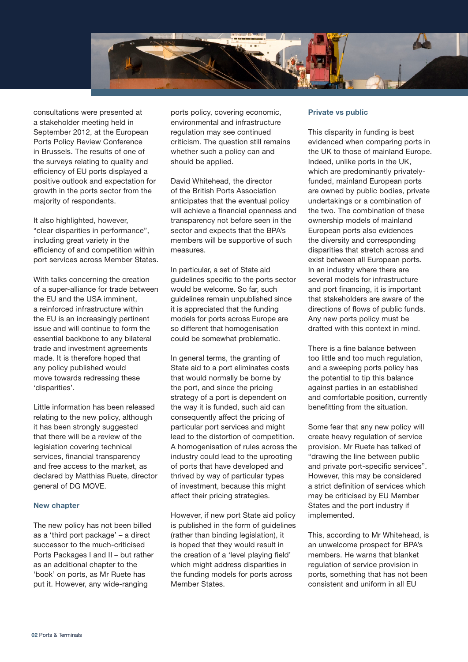

consultations were presented at a stakeholder meeting held in September 2012, at the European Ports Policy Review Conference in Brussels. The results of one of the surveys relating to quality and efficiency of EU ports displayed a positive outlook and expectation for growth in the ports sector from the majority of respondents.

It also highlighted, however, "clear disparities in performance", including great variety in the efficiency of and competition within port services across Member States.

With talks concerning the creation of a super-alliance for trade between the EU and the USA imminent, a reinforced infrastructure within the EU is an increasingly pertinent issue and will continue to form the essential backbone to any bilateral trade and investment agreements made. It is therefore hoped that any policy published would move towards redressing these 'disparities'.

Little information has been released relating to the new policy, although it has been strongly suggested that there will be a review of the legislation covering technical services, financial transparency and free access to the market, as declared by Matthias Ruete, director general of DG MOVE.

#### **New chapter**

The new policy has not been billed as a 'third port package' – a direct successor to the much-criticised Ports Packages I and II – but rather as an additional chapter to the 'book' on ports, as Mr Ruete has put it. However, any wide-ranging

ports policy, covering economic, environmental and infrastructure regulation may see continued criticism. The question still remains whether such a policy can and should be applied.

David Whitehead, the director of the British Ports Association anticipates that the eventual policy will achieve a financial openness and transparency not before seen in the sector and expects that the BPA's members will be supportive of such measures.

In particular, a set of State aid guidelines specific to the ports sector would be welcome. So far, such guidelines remain unpublished since it is appreciated that the funding models for ports across Europe are so different that homogenisation could be somewhat problematic.

In general terms, the granting of State aid to a port eliminates costs that would normally be borne by the port, and since the pricing strategy of a port is dependent on the way it is funded, such aid can consequently affect the pricing of particular port services and might lead to the distortion of competition. A homogenisation of rules across the industry could lead to the uprooting of ports that have developed and thrived by way of particular types of investment, because this might affect their pricing strategies.

However, if new port State aid policy is published in the form of guidelines (rather than binding legislation), it is hoped that they would result in the creation of a 'level playing field' which might address disparities in the funding models for ports across Member States.

#### **Private vs public**

This disparity in funding is best evidenced when comparing ports in the UK to those of mainland Europe. Indeed, unlike ports in the UK, which are predominantly privatelyfunded, mainland European ports are owned by public bodies, private undertakings or a combination of the two. The combination of these ownership models of mainland European ports also evidences the diversity and corresponding disparities that stretch across and exist between all European ports. In an industry where there are several models for infrastructure and port financing, it is important that stakeholders are aware of the directions of flows of public funds. Any new ports policy must be drafted with this context in mind.

There is a fine balance between too little and too much regulation, and a sweeping ports policy has the potential to tip this balance against parties in an established and comfortable position, currently benefitting from the situation.

Some fear that any new policy will create heavy regulation of service provision. Mr Ruete has talked of "drawing the line between public and private port-specific services". However, this may be considered a strict definition of services which may be criticised by EU Member States and the port industry if implemented.

This, according to Mr Whitehead, is an unwelcome prospect for BPA's members. He warns that blanket regulation of service provision in ports, something that has not been consistent and uniform in all EU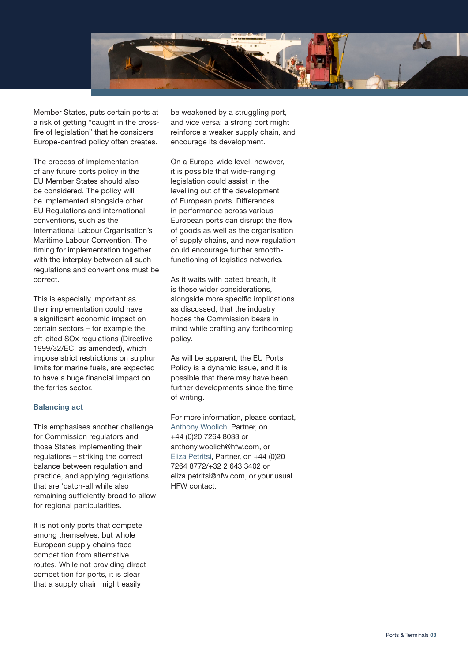

Member States, puts certain ports at a risk of getting "caught in the crossfire of legislation" that he considers Europe-centred policy often creates.

The process of implementation of any future ports policy in the EU Member States should also be considered. The policy will be implemented alongside other EU Regulations and international conventions, such as the International Labour Organisation's Maritime Labour Convention. The timing for implementation together with the interplay between all such regulations and conventions must be correct.

This is especially important as their implementation could have a significant economic impact on certain sectors – for example the oft-cited SOx regulations (Directive 1999/32/EC, as amended), which impose strict restrictions on sulphur limits for marine fuels, are expected to have a huge financial impact on the ferries sector.

#### **Balancing act**

This emphasises another challenge for Commission regulators and those States implementing their regulations – striking the correct balance between regulation and practice, and applying regulations that are 'catch-all while also remaining sufficiently broad to allow for regional particularities.

It is not only ports that compete among themselves, but whole European supply chains face competition from alternative routes. While not providing direct competition for ports, it is clear that a supply chain might easily

be weakened by a struggling port, and vice versa: a strong port might reinforce a weaker supply chain, and encourage its development.

On a Europe-wide level, however, it is possible that wide-ranging legislation could assist in the levelling out of the development of European ports. Differences in performance across various European ports can disrupt the flow of goods as well as the organisation of supply chains, and new regulation could encourage further smoothfunctioning of logistics networks.

As it waits with bated breath, it is these wider considerations, alongside more specific implications as discussed, that the industry hopes the Commission bears in mind while drafting any forthcoming policy.

As will be apparent, the EU Ports Policy is a dynamic issue, and it is possible that there may have been further developments since the time of writing.

For more information, please contact, Anthony Woolich, Partner, on +44 (0)20 7264 8033 or anthony.woolich@hfw.com, or Eliza Petritsi, Partner, on +44 (0)20 7264 8772/+32 2 643 3402 or eliza.petritsi@hfw.com, or your usual HFW contact.